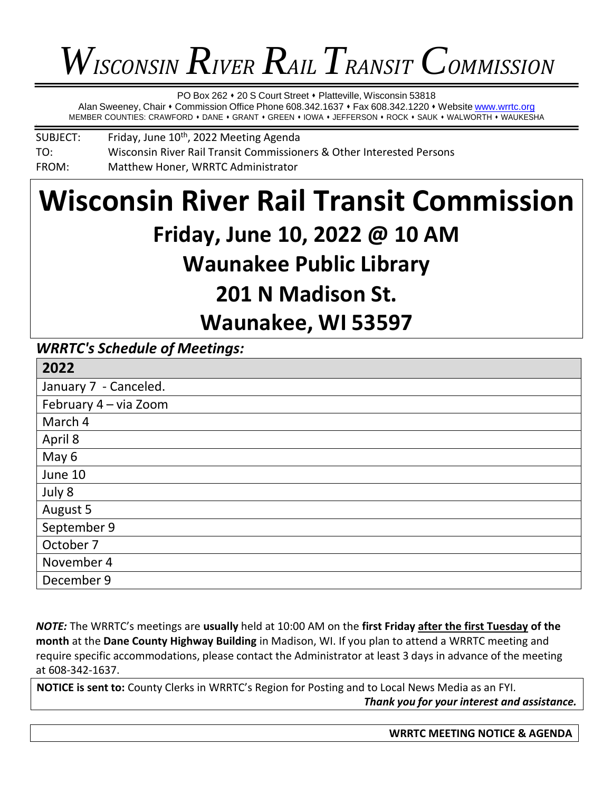# *WISCONSIN RIVER RAIL TRANSIT COMMISSION*

PO Box 262 • 20 S Court Street • Platteville, Wisconsin 53818

Alan Sweeney, Chair • Commission Office Phone 608.342.1637 • Fax 608.342.1220 • Website [www.wrrtc.org](http://www.wrrtc.org/) MEMBER COUNTIES: CRAWFORD • DANE • GRANT • GREEN • IOWA • JEFFERSON • ROCK • SAUK • WALWORTH • WAUKESHA

SUBJECT: Friday, June 10<sup>th</sup>, 2022 Meeting Agenda TO: Wisconsin River Rail Transit Commissioners & Other Interested Persons FROM: Matthew Honer, WRRTC Administrator

# **Wisconsin River Rail Transit Commission Friday, June 10, 2022 @ 10 AM Waunakee Public Library 201 N Madison St. Waunakee, WI 53597**

# *WRRTC's Schedule of Meetings:*

| 2022                  |
|-----------------------|
| January 7 - Canceled. |
| February 4 - via Zoom |
| March 4               |
| April 8               |
| May 6                 |
| June 10               |
| July 8                |
| August 5              |
| September 9           |
| October 7             |
| November 4            |
| December 9            |

*NOTE:* The WRRTC's meetings are **usually** held at 10:00 AM on the **first Friday after the first Tuesday of the month** at the **Dane County Highway Building** in Madison, WI. If you plan to attend a WRRTC meeting and require specific accommodations, please contact the Administrator at least 3 days in advance of the meeting at 608-342-1637.

**NOTICE is sent to:** County Clerks in WRRTC's Region for Posting and to Local News Media as an FYI. *Thank you for your interest and assistance.*